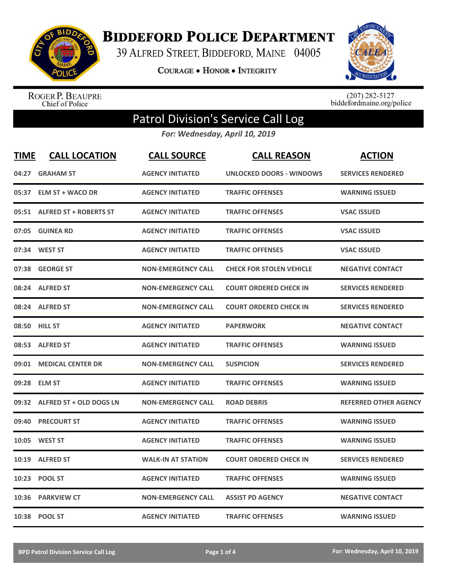

**BIDDEFORD POLICE DEPARTMENT** 

39 ALFRED STREET, BIDDEFORD, MAINE 04005

**COURAGE . HONOR . INTEGRITY** 



ROGER P. BEAUPRE<br>Chief of Police

 $(207)$  282-5127<br>biddefordmaine.org/police

## Patrol Division's Service Call Log

*For: Wednesday, April 10, 2019*

| <b>TIME</b> | <b>CALL LOCATION</b>         | <b>CALL SOURCE</b>        | <b>CALL REASON</b>              | <b>ACTION</b>                |
|-------------|------------------------------|---------------------------|---------------------------------|------------------------------|
| 04:27       | <b>GRAHAM ST</b>             | <b>AGENCY INITIATED</b>   | <b>UNLOCKED DOORS - WINDOWS</b> | <b>SERVICES RENDERED</b>     |
| 05:37       | <b>ELM ST + WACO DR</b>      | <b>AGENCY INITIATED</b>   | <b>TRAFFIC OFFENSES</b>         | <b>WARNING ISSUED</b>        |
|             | 05:51 ALFRED ST + ROBERTS ST | <b>AGENCY INITIATED</b>   | <b>TRAFFIC OFFENSES</b>         | <b>VSAC ISSUED</b>           |
| 07:05       | <b>GUINEA RD</b>             | <b>AGENCY INITIATED</b>   | <b>TRAFFIC OFFENSES</b>         | <b>VSAC ISSUED</b>           |
| 07:34       | <b>WEST ST</b>               | <b>AGENCY INITIATED</b>   | <b>TRAFFIC OFFENSES</b>         | <b>VSAC ISSUED</b>           |
| 07:38       | <b>GEORGE ST</b>             | <b>NON-EMERGENCY CALL</b> | <b>CHECK FOR STOLEN VEHICLE</b> | <b>NEGATIVE CONTACT</b>      |
| 08:24       | <b>ALFRED ST</b>             | <b>NON-EMERGENCY CALL</b> | <b>COURT ORDERED CHECK IN</b>   | <b>SERVICES RENDERED</b>     |
|             | 08:24 ALFRED ST              | <b>NON-EMERGENCY CALL</b> | <b>COURT ORDERED CHECK IN</b>   | <b>SERVICES RENDERED</b>     |
| 08:50       | <b>HILL ST</b>               | <b>AGENCY INITIATED</b>   | <b>PAPERWORK</b>                | <b>NEGATIVE CONTACT</b>      |
| 08:53       | <b>ALFRED ST</b>             | <b>AGENCY INITIATED</b>   | <b>TRAFFIC OFFENSES</b>         | <b>WARNING ISSUED</b>        |
| 09:01       | <b>MEDICAL CENTER DR</b>     | <b>NON-EMERGENCY CALL</b> | <b>SUSPICION</b>                | <b>SERVICES RENDERED</b>     |
| 09:28       | <b>ELM ST</b>                | <b>AGENCY INITIATED</b>   | <b>TRAFFIC OFFENSES</b>         | <b>WARNING ISSUED</b>        |
| 09:32       | ALFRED ST + OLD DOGS LN      | <b>NON-EMERGENCY CALL</b> | <b>ROAD DEBRIS</b>              | <b>REFERRED OTHER AGENCY</b> |
| 09:40       | <b>PRECOURT ST</b>           | <b>AGENCY INITIATED</b>   | <b>TRAFFIC OFFENSES</b>         | <b>WARNING ISSUED</b>        |
| 10:05       | <b>WEST ST</b>               | <b>AGENCY INITIATED</b>   | <b>TRAFFIC OFFENSES</b>         | <b>WARNING ISSUED</b>        |
| 10:19       | <b>ALFRED ST</b>             | <b>WALK-IN AT STATION</b> | <b>COURT ORDERED CHECK IN</b>   | <b>SERVICES RENDERED</b>     |
| 10:23       | <b>POOL ST</b>               | <b>AGENCY INITIATED</b>   | <b>TRAFFIC OFFENSES</b>         | <b>WARNING ISSUED</b>        |
| 10:36       | <b>PARKVIEW CT</b>           | <b>NON-EMERGENCY CALL</b> | <b>ASSIST PD AGENCY</b>         | <b>NEGATIVE CONTACT</b>      |
|             | 10:38 POOL ST                | <b>AGENCY INITIATED</b>   | <b>TRAFFIC OFFENSES</b>         | <b>WARNING ISSUED</b>        |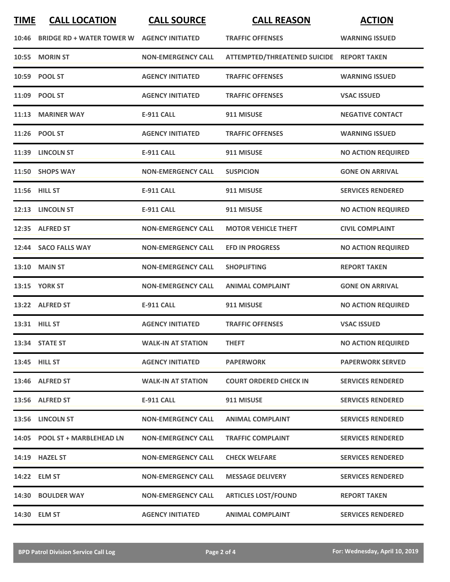| <b>TIME</b> | <b>CALL LOCATION</b>             | <b>CALL SOURCE</b>        | <b>CALL REASON</b>                        | <b>ACTION</b>             |
|-------------|----------------------------------|---------------------------|-------------------------------------------|---------------------------|
| 10:46       | <b>BRIDGE RD + WATER TOWER W</b> | <b>AGENCY INITIATED</b>   | <b>TRAFFIC OFFENSES</b>                   | <b>WARNING ISSUED</b>     |
| 10:55       | <b>MORIN ST</b>                  | <b>NON-EMERGENCY CALL</b> | ATTEMPTED/THREATENED SUICIDE REPORT TAKEN |                           |
|             | 10:59 POOL ST                    | <b>AGENCY INITIATED</b>   | <b>TRAFFIC OFFENSES</b>                   | <b>WARNING ISSUED</b>     |
|             | 11:09 POOL ST                    | <b>AGENCY INITIATED</b>   | <b>TRAFFIC OFFENSES</b>                   | <b>VSAC ISSUED</b>        |
| 11:13       | <b>MARINER WAY</b>               | <b>E-911 CALL</b>         | 911 MISUSE                                | <b>NEGATIVE CONTACT</b>   |
| 11:26       | <b>POOL ST</b>                   | <b>AGENCY INITIATED</b>   | <b>TRAFFIC OFFENSES</b>                   | <b>WARNING ISSUED</b>     |
| 11:39       | <b>LINCOLN ST</b>                | <b>E-911 CALL</b>         | 911 MISUSE                                | <b>NO ACTION REQUIRED</b> |
|             | 11:50 SHOPS WAY                  | <b>NON-EMERGENCY CALL</b> | <b>SUSPICION</b>                          | <b>GONE ON ARRIVAL</b>    |
|             | <b>11:56 HILL ST</b>             | E-911 CALL                | 911 MISUSE                                | <b>SERVICES RENDERED</b>  |
| 12:13       | <b>LINCOLN ST</b>                | <b>E-911 CALL</b>         | 911 MISUSE                                | <b>NO ACTION REQUIRED</b> |
| 12:35       | <b>ALFRED ST</b>                 | <b>NON-EMERGENCY CALL</b> | <b>MOTOR VEHICLE THEFT</b>                | <b>CIVIL COMPLAINT</b>    |
| 12:44       | <b>SACO FALLS WAY</b>            | <b>NON-EMERGENCY CALL</b> | <b>EFD IN PROGRESS</b>                    | <b>NO ACTION REQUIRED</b> |
| 13:10       | <b>MAIN ST</b>                   | <b>NON-EMERGENCY CALL</b> | <b>SHOPLIFTING</b>                        | <b>REPORT TAKEN</b>       |
|             | <b>13:15 YORK ST</b>             | <b>NON-EMERGENCY CALL</b> | <b>ANIMAL COMPLAINT</b>                   | <b>GONE ON ARRIVAL</b>    |
|             | 13:22 ALFRED ST                  | <b>E-911 CALL</b>         | 911 MISUSE                                | <b>NO ACTION REQUIRED</b> |
| 13:31       | <b>HILL ST</b>                   | <b>AGENCY INITIATED</b>   | <b>TRAFFIC OFFENSES</b>                   | <b>VSAC ISSUED</b>        |
|             | 13:34 STATE ST                   | <b>WALK-IN AT STATION</b> | <b>THEFT</b>                              | <b>NO ACTION REQUIRED</b> |
|             | 13:45 HILL ST                    | <b>AGENCY INITIATED</b>   | <b>PAPERWORK</b>                          | <b>PAPERWORK SERVED</b>   |
|             | 13:46 ALFRED ST                  | <b>WALK-IN AT STATION</b> | <b>COURT ORDERED CHECK IN</b>             | <b>SERVICES RENDERED</b>  |
|             | 13:56 ALFRED ST                  | <b>E-911 CALL</b>         | 911 MISUSE                                | <b>SERVICES RENDERED</b>  |
| 13:56       | <b>LINCOLN ST</b>                | <b>NON-EMERGENCY CALL</b> | <b>ANIMAL COMPLAINT</b>                   | <b>SERVICES RENDERED</b>  |
|             | 14:05 POOL ST + MARBLEHEAD LN    | <b>NON-EMERGENCY CALL</b> | <b>TRAFFIC COMPLAINT</b>                  | <b>SERVICES RENDERED</b>  |
|             | 14:19 HAZEL ST                   | <b>NON-EMERGENCY CALL</b> | <b>CHECK WELFARE</b>                      | <b>SERVICES RENDERED</b>  |
|             | 14:22 ELM ST                     | <b>NON-EMERGENCY CALL</b> | <b>MESSAGE DELIVERY</b>                   | <b>SERVICES RENDERED</b>  |
| 14:30       | <b>BOULDER WAY</b>               | <b>NON-EMERGENCY CALL</b> | <b>ARTICLES LOST/FOUND</b>                | <b>REPORT TAKEN</b>       |
|             | 14:30 ELM ST                     | <b>AGENCY INITIATED</b>   | <b>ANIMAL COMPLAINT</b>                   | <b>SERVICES RENDERED</b>  |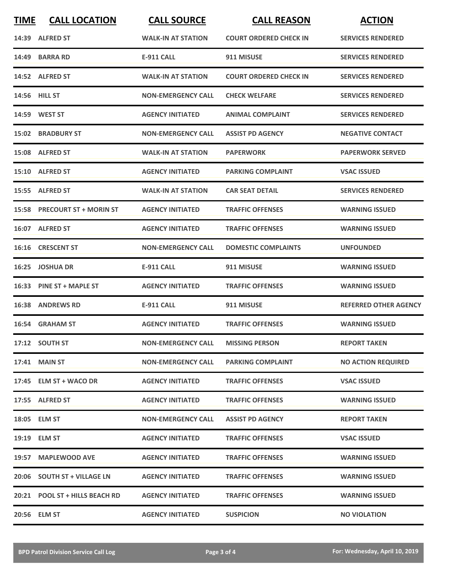| <b>TIME</b> | <b>CALL LOCATION</b>           | <b>CALL SOURCE</b>        | <b>CALL REASON</b>            | <b>ACTION</b>                |
|-------------|--------------------------------|---------------------------|-------------------------------|------------------------------|
|             | 14:39 ALFRED ST                | <b>WALK-IN AT STATION</b> | <b>COURT ORDERED CHECK IN</b> | <b>SERVICES RENDERED</b>     |
| 14:49       | <b>BARRA RD</b>                | <b>E-911 CALL</b>         | 911 MISUSE                    | <b>SERVICES RENDERED</b>     |
|             | 14:52 ALFRED ST                | <b>WALK-IN AT STATION</b> | <b>COURT ORDERED CHECK IN</b> | <b>SERVICES RENDERED</b>     |
|             | 14:56 HILL ST                  | <b>NON-EMERGENCY CALL</b> | <b>CHECK WELFARE</b>          | <b>SERVICES RENDERED</b>     |
|             | 14:59 WEST ST                  | <b>AGENCY INITIATED</b>   | <b>ANIMAL COMPLAINT</b>       | <b>SERVICES RENDERED</b>     |
|             | <b>15:02 BRADBURY ST</b>       | <b>NON-EMERGENCY CALL</b> | <b>ASSIST PD AGENCY</b>       | <b>NEGATIVE CONTACT</b>      |
|             | 15:08 ALFRED ST                | <b>WALK-IN AT STATION</b> | <b>PAPERWORK</b>              | <b>PAPERWORK SERVED</b>      |
|             | 15:10 ALFRED ST                | <b>AGENCY INITIATED</b>   | <b>PARKING COMPLAINT</b>      | <b>VSAC ISSUED</b>           |
|             | 15:55 ALFRED ST                | <b>WALK-IN AT STATION</b> | <b>CAR SEAT DETAIL</b>        | <b>SERVICES RENDERED</b>     |
|             | 15:58 PRECOURT ST + MORIN ST   | <b>AGENCY INITIATED</b>   | <b>TRAFFIC OFFENSES</b>       | <b>WARNING ISSUED</b>        |
|             | 16:07 ALFRED ST                | <b>AGENCY INITIATED</b>   | <b>TRAFFIC OFFENSES</b>       | <b>WARNING ISSUED</b>        |
|             | 16:16 CRESCENT ST              | <b>NON-EMERGENCY CALL</b> | <b>DOMESTIC COMPLAINTS</b>    | <b>UNFOUNDED</b>             |
| 16:25       | <b>JOSHUA DR</b>               | <b>E-911 CALL</b>         | 911 MISUSE                    | <b>WARNING ISSUED</b>        |
|             | 16:33 PINE ST + MAPLE ST       | <b>AGENCY INITIATED</b>   | <b>TRAFFIC OFFENSES</b>       | <b>WARNING ISSUED</b>        |
| 16:38       | <b>ANDREWS RD</b>              | <b>E-911 CALL</b>         | 911 MISUSE                    | <b>REFERRED OTHER AGENCY</b> |
|             | 16:54 GRAHAM ST                | <b>AGENCY INITIATED</b>   | <b>TRAFFIC OFFENSES</b>       | <b>WARNING ISSUED</b>        |
|             | 17:12 SOUTH ST                 | <b>NON-EMERGENCY CALL</b> | <b>MISSING PERSON</b>         | <b>REPORT TAKEN</b>          |
|             | <b>17:41 MAIN ST</b>           | <b>NON-EMERGENCY CALL</b> | <b>PARKING COMPLAINT</b>      | <b>NO ACTION REQUIRED</b>    |
|             | 17:45 ELM ST + WACO DR         | <b>AGENCY INITIATED</b>   | <b>TRAFFIC OFFENSES</b>       | <b>VSAC ISSUED</b>           |
|             | 17:55 ALFRED ST                | <b>AGENCY INITIATED</b>   | <b>TRAFFIC OFFENSES</b>       | <b>WARNING ISSUED</b>        |
|             | 18:05 ELM ST                   | <b>NON-EMERGENCY CALL</b> | <b>ASSIST PD AGENCY</b>       | <b>REPORT TAKEN</b>          |
|             | 19:19 ELM ST                   | <b>AGENCY INITIATED</b>   | <b>TRAFFIC OFFENSES</b>       | <b>VSAC ISSUED</b>           |
|             | 19:57 MAPLEWOOD AVE            | <b>AGENCY INITIATED</b>   | <b>TRAFFIC OFFENSES</b>       | <b>WARNING ISSUED</b>        |
|             | 20:06 SOUTH ST + VILLAGE LN    | <b>AGENCY INITIATED</b>   | <b>TRAFFIC OFFENSES</b>       | <b>WARNING ISSUED</b>        |
|             | 20:21 POOL ST + HILLS BEACH RD | <b>AGENCY INITIATED</b>   | <b>TRAFFIC OFFENSES</b>       | <b>WARNING ISSUED</b>        |
|             | 20:56 ELM ST                   | <b>AGENCY INITIATED</b>   | <b>SUSPICION</b>              | <b>NO VIOLATION</b>          |